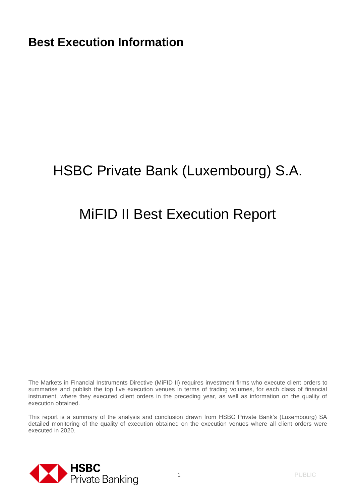# HSBC Private Bank (Luxembourg) S.A.

## MiFID II Best Execution Report

The Markets in Financial Instruments Directive (MiFID II) requires investment firms who execute client orders to summarise and publish the top five execution venues in terms of trading volumes, for each class of financial instrument, where they executed client orders in the preceding year, as well as information on the quality of execution obtained.

This report is a summary of the analysis and conclusion drawn from HSBC Private Bank's (Luxembourg) SA detailed monitoring of the quality of execution obtained on the execution venues where all client orders were executed in 2020.

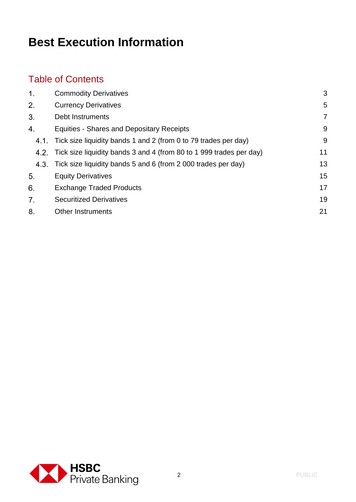#### Table of Contents

| 1.   | <b>Commodity Derivatives</b>                                             | 3  |
|------|--------------------------------------------------------------------------|----|
| 2.   | <b>Currency Derivatives</b>                                              | 5  |
| 3.   | Debt Instruments                                                         | 7  |
| 4.   | <b>Equities - Shares and Depositary Receipts</b>                         | 9  |
| 4.1. | Tick size liquidity bands 1 and 2 (from 0 to 79 trades per day)          | 9  |
|      | 4.2. Tick size liquidity bands 3 and 4 (from 80 to 1 999 trades per day) | 11 |
| 4.3. | Tick size liquidity bands 5 and 6 (from 2 000 trades per day)            | 13 |
| 5.   | <b>Equity Derivatives</b>                                                | 15 |
| 6.   | <b>Exchange Traded Products</b>                                          | 17 |
| 7.   | <b>Securitized Derivatives</b>                                           | 19 |
| 8.   | <b>Other Instruments</b>                                                 | 21 |
|      |                                                                          |    |

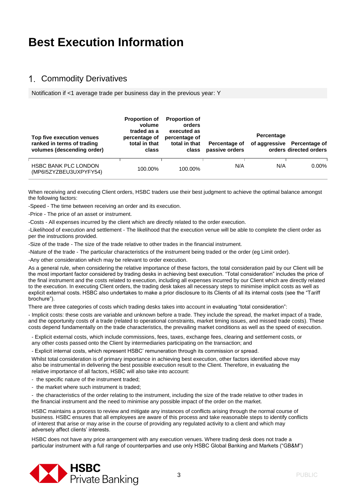#### 1. Commodity Derivatives

Notification if <1 average trade per business day in the previous year: Y

| Top five execution venues<br>ranked in terms of trading<br>volumes (descending order) | <b>Proportion of</b><br>volume<br>traded as a<br>percentage of<br>total in that<br>class | <b>Proportion of</b><br>orders<br>executed as<br>percentage of<br>total in that<br>class | Percentage of<br>passive orders | Percentage | of aggressive Percentage of<br>orders directed orders |
|---------------------------------------------------------------------------------------|------------------------------------------------------------------------------------------|------------------------------------------------------------------------------------------|---------------------------------|------------|-------------------------------------------------------|
| <b>HSBC BANK PLC LONDON</b><br>(MP6I5ZYZBEU3UXPYFY54)                                 | 100.00%                                                                                  | 100.00%                                                                                  | N/A                             | N/A        | $0.00\%$                                              |

When receiving and executing Client orders, HSBC traders use their best judgment to achieve the optimal balance amongst the following factors:

-Speed - The time between receiving an order and its execution.

-Price - The price of an asset or instrument.

-Costs - All expenses incurred by the client which are directly related to the order execution.

-Likelihood of execution and settlement - The likelihood that the execution venue will be able to complete the client order as per the instructions provided.

-Size of the trade - The size of the trade relative to other trades in the financial instrument.

-Nature of the trade - The particular characteristics of the instrument being traded or the order (eg Limit order).

-Any other consideration which may be relevant to order execution.

As a general rule, when considering the relative importance of these factors, the total consideration paid by our Client will be the most important factor considered by trading desks in achieving best execution. "Total consideration" includes the price of the final instrument and the costs related to execution, including all expenses incurred by our Client which are directly related to the execution. In executing Client orders, the trading desk takes all necessary steps to minimise implicit costs as well as explicit external costs. HSBC also undertakes to make a prior disclosure to its Clients of all its internal costs (see the "Tariff brochure").

There are three categories of costs which trading desks takes into account in evaluating "total consideration":

- Implicit costs: these costs are variable and unknown before a trade. They include the spread, the market impact of a trade, and the opportunity costs of a trade (related to operational constraints, market timing issues, and missed trade costs). These costs depend fundamentally on the trade characteristics, the prevailing market conditions as well as the speed of execution.

- Explicit external costs, which include commissions, fees, taxes, exchange fees, clearing and settlement costs, or any other costs passed onto the Client by intermediaries participating on the transaction; and

- Explicit internal costs, which represent HSBC' remuneration through its commission or spread.

Whilst total consideration is of primary importance in achieving best execution, other factors identified above may also be instrumental in delivering the best possible execution result to the Client. Therefore, in evaluating the relative importance of all factors, HSBC will also take into account:

- the specific nature of the instrument traded;

- the market where such instrument is traded;

- the characteristics of the order relating to the instrument, including the size of the trade relative to other trades in the financial instrument and the need to minimise any possible impact of the order on the market.

HSBC maintains a process to review and mitigate any instances of conflicts arising through the normal course of business. HSBC ensures that all employees are aware of this process and take reasonable steps to identify conflicts of interest that arise or may arise in the course of providing any regulated activity to a client and which may adversely affect clients' interests.

HSBC does not have any price arrangement with any execution venues. Where trading desk does not trade a particular instrument with a full range of counterparties and use only HSBC Global Banking and Markets ("GB&M")

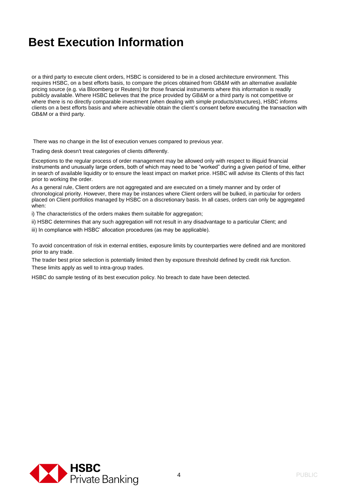or a third party to execute client orders, HSBC is considered to be in a closed architecture environment. This requires HSBC, on a best efforts basis, to compare the prices obtained from GB&M with an alternative available pricing source (e.g. via Bloomberg or Reuters) for those financial instruments where this information is readily publicly available. Where HSBC believes that the price provided by GB&M or a third party is not competitive or where there is no directly comparable investment (when dealing with simple products/structures), HSBC informs clients on a best efforts basis and where achievable obtain the client's consent before executing the transaction with GB&M or a third party.

There was no change in the list of execution venues compared to previous year.

Trading desk doesn't treat categories of clients differently.

Exceptions to the regular process of order management may be allowed only with respect to illiquid financial instruments and unusually large orders, both of which may need to be "worked" during a given period of time, either in search of available liquidity or to ensure the least impact on market price. HSBC will advise its Clients of this fact prior to working the order.

As a general rule, Client orders are not aggregated and are executed on a timely manner and by order of chronological priority. However, there may be instances where Client orders will be bulked, in particular for orders placed on Client portfolios managed by HSBC on a discretionary basis. In all cases, orders can only be aggregated when:

i) The characteristics of the orders makes them suitable for aggregation;

ii) HSBC determines that any such aggregation will not result in any disadvantage to a particular Client; and

iii) In compliance with HSBC' allocation procedures (as may be applicable).

To avoid concentration of risk in external entities, exposure limits by counterparties were defined and are monitored prior to any trade.

The trader best price selection is potentially limited then by exposure threshold defined by credit risk function. These limits apply as well to intra-group trades.

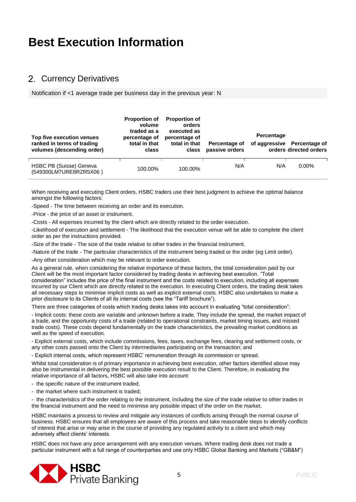#### 2. Currency Derivatives

Notification if <1 average trade per business day in the previous year: N

| Top five execution venues<br>ranked in terms of trading<br>volumes (descending order) | <b>Proportion of</b><br>volume<br>traded as a<br>percentage of<br>total in that<br>class | <b>Proportion of</b><br>orders<br>executed as<br>percentage of<br>total in that<br>class | Percentage of<br>passive orders | Percentage | of aggressive Percentage of<br>orders directed orders |
|---------------------------------------------------------------------------------------|------------------------------------------------------------------------------------------|------------------------------------------------------------------------------------------|---------------------------------|------------|-------------------------------------------------------|
| HSBC PB (Suisse) Geneva<br>(549300LM7URE8RZR5X06)                                     | 100.00%                                                                                  | 100.00%                                                                                  | N/A                             | N/A        | $0.00\%$                                              |

When receiving and executing Client orders, HSBC traders use their best judgment to achieve the optimal balance amongst the following factors:

-Speed - The time between receiving an order and its execution.

-Price - the price of an asset or instrument.

-Costs - All expenses incurred by the client which are directly related to the order execution.

-Likelihood of execution and settlement - The likelihood that the execution venue will be able to complete the client order as per the instructions provided.

-Size of the trade - The size of the trade relative to other trades in the financial instrument.

-Nature of the trade - The particular characteristics of the instrument being traded or the order (eg Limit order).

-Any other consideration which may be relevant to order execution.

As a general rule, when considering the relative importance of these factors, the total consideration paid by our Client will be the most important factor considered by trading desks in achieving best execution. "Total consideration" includes the price of the final instrument and the costs related to execution, including all expenses incurred by our Client which are directly related to the execution. In executing Client orders, the trading desk takes all necessary steps to minimise implicit costs as well as explicit external costs. HSBC also undertakes to make a prior disclosure to its Clients of all its internal costs (see the "Tariff brochure").

There are three categories of costs which trading desks takes into account in evaluating "total consideration":

- Implicit costs: these costs are variable and unknown before a trade. They include the spread, the market impact of a trade, and the opportunity costs of a trade (related to operational constraints, market timing issues, and missed trade costs). These costs depend fundamentally on the trade characteristics, the prevailing market conditions as well as the speed of execution.

- Explicit external costs, which include commissions, fees, taxes, exchange fees, clearing and settlement costs, or any other costs passed onto the Client by intermediaries participating on the transaction; and

- Explicit internal costs, which represent HSBC' remuneration through its commission or spread.

Whilst total consideration is of primary importance in achieving best execution, other factors identified above may also be instrumental in delivering the best possible execution result to the Client. Therefore, in evaluating the relative importance of all factors, HSBC will also take into account:

- the specific nature of the instrument traded;

- the market where such instrument is traded;

- the characteristics of the order relating to the instrument, including the size of the trade relative to other trades in the financial instrument and the need to minimise any possible impact of the order on the market.

HSBC maintains a process to review and mitigate any instances of conflicts arising through the normal course of business. HSBC ensures that all employees are aware of this process and take reasonable steps to identify conflicts of interest that arise or may arise in the course of providing any regulated activity to a client and which may adversely affect clients' interests.

HSBC does not have any price arrangement with any execution venues. Where trading desk does not trade a particular instrument with a full range of counterparties and use only HSBC Global Banking and Markets ("GB&M")

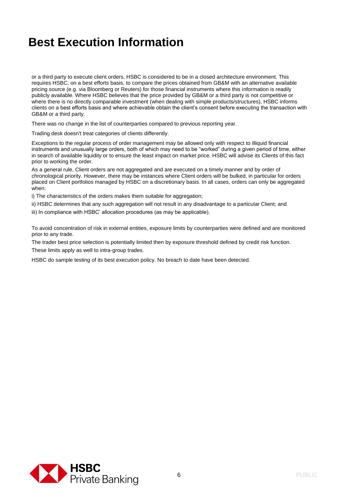or a third party to execute client orders, HSBC is considered to be in a closed architecture environment. This requires HSBC, on a best efforts basis, to compare the prices obtained from GB&M with an alternative available pricing source (e.g. via Bloomberg or Reuters) for those financial instruments where this information is readily publicly available. Where HSBC believes that the price provided by GB&M or a third party is not competitive or where there is no directly comparable investment (when dealing with simple products/structures), HSBC informs clients on a best efforts basis and where achievable obtain the client's consent before executing the transaction with GB&M or a third party.

There was no change in the list of counterparties compared to previous reporting year.

Trading desk doesn't treat categories of clients differently.

Exceptions to the regular process of order management may be allowed only with respect to illiquid financial instruments and unusually large orders, both of which may need to be "worked" during a given period of time, either in search of available liquidity or to ensure the least impact on market price. HSBC will advise its Clients of this fact prior to working the order.

As a general rule, Client orders are not aggregated and are executed on a timely manner and by order of chronological priority. However, there may be instances where Client orders will be bulked, in particular for orders placed on Client portfolios managed by HSBC on a discretionary basis. In all cases, orders can only be aggregated when:

i) The characteristics of the orders makes them suitable for aggregation;

ii) HSBC determines that any such aggregation will not result in any disadvantage to a particular Client; and

iii) In compliance with HSBC' allocation procedures (as may be applicable).

To avoid concentration of risk in external entities, exposure limits by counterparties were defined and are monitored prior to any trade.

The trader best price selection is potentially limited then by exposure threshold defined by credit risk function.

These limits apply as well to intra-group trades.

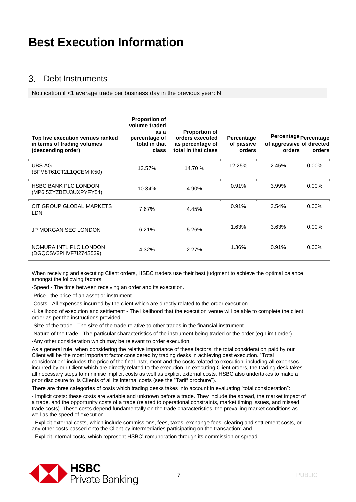#### $\mathcal{S}$ Debt Instruments

Notification if <1 average trade per business day in the previous year: N

| Top five execution venues ranked<br>in terms of trading volumes<br>(descending order) | <b>Proportion of</b><br>volume traded<br>as a<br>percentage of<br>total in that<br>class | <b>Proportion of</b><br>orders executed<br>as percentage of<br>total in that class | Percentage<br>of passive<br>orders | Percentage Percentage<br>of aggressive of directed<br>orders | orders   |
|---------------------------------------------------------------------------------------|------------------------------------------------------------------------------------------|------------------------------------------------------------------------------------|------------------------------------|--------------------------------------------------------------|----------|
| UBS AG<br>(BFM8T61CT2L1QCEMIK50)                                                      | 13.57%                                                                                   | 14.70 %                                                                            | 12.25%                             | 2.45%                                                        | $0.00\%$ |
| <b>HSBC BANK PLC LONDON</b><br>(MP6I5ZYZBEU3UXPYFY54)                                 | 10.34%                                                                                   | 4.90%                                                                              | 0.91%                              | 3.99%                                                        | $0.00\%$ |
| CITIGROUP GLOBAL MARKETS<br>LDN.                                                      | 7.67%                                                                                    | 4.45%                                                                              | 0.91%                              | 3.54%                                                        | $0.00\%$ |
| <b>JP MORGAN SEC LONDON</b>                                                           | 6.21%                                                                                    | 5.26%                                                                              | 1.63%                              | 3.63%                                                        | $0.00\%$ |
| NOMURA INTL PLC LONDON<br>(DGQCSV2PHVF7I2743539)                                      | 4.32%                                                                                    | 2.27%                                                                              | 1.36%                              | 0.91%                                                        | 0.00%    |

When receiving and executing Client orders, HSBC traders use their best judgment to achieve the optimal balance amongst the following factors:

-Speed - The time between receiving an order and its execution.

-Price - the price of an asset or instrument.

-Costs - All expenses incurred by the client which are directly related to the order execution.

-Likelihood of execution and settlement - The likelihood that the execution venue will be able to complete the client order as per the instructions provided.

-Size of the trade - The size of the trade relative to other trades in the financial instrument.

-Nature of the trade - The particular characteristics of the instrument being traded or the order (eg Limit order).

-Any other consideration which may be relevant to order execution.

As a general rule, when considering the relative importance of these factors, the total consideration paid by our Client will be the most important factor considered by trading desks in achieving best execution. "Total consideration" includes the price of the final instrument and the costs related to execution, including all expenses incurred by our Client which are directly related to the execution. In executing Client orders, the trading desk takes all necessary steps to minimise implicit costs as well as explicit external costs. HSBC also undertakes to make a prior disclosure to its Clients of all its internal costs (see the "Tariff brochure").

There are three categories of costs which trading desks takes into account in evaluating "total consideration":

- Implicit costs: these costs are variable and unknown before a trade. They include the spread, the market impact of a trade, and the opportunity costs of a trade (related to operational constraints, market timing issues, and missed trade costs). These costs depend fundamentally on the trade characteristics, the prevailing market conditions as well as the speed of execution.

- Explicit external costs, which include commissions, fees, taxes, exchange fees, clearing and settlement costs, or any other costs passed onto the Client by intermediaries participating on the transaction; and

- Explicit internal costs, which represent HSBC' remuneration through its commission or spread.

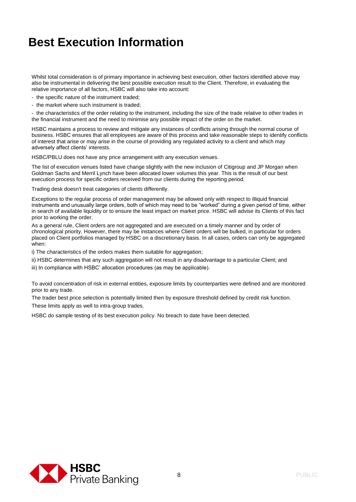Whilst total consideration is of primary importance in achieving best execution, other factors identified above may also be instrumental in delivering the best possible execution result to the Client. Therefore, in evaluating the relative importance of all factors, HSBC will also take into account:

- the specific nature of the instrument traded;
- the market where such instrument is traded;

- the characteristics of the order relating to the instrument, including the size of the trade relative to other trades in the financial instrument and the need to minimise any possible impact of the order on the market.

HSBC maintains a process to review and mitigate any instances of conflicts arising through the normal course of business. HSBC ensures that all employees are aware of this process and take reasonable steps to identify conflicts of interest that arise or may arise in the course of providing any regulated activity to a client and which may adversely affect clients' interests.

HSBC/PBLU does not have any price arrangement with any execution venues.

The list of execution venues listed have change slightly with the new inclusion of Citigroup and JP Morgan when Goldman Sachs and Merril Lynch have been allocated lower volumes this year. This is the result of our best execution process for specific orders received from our clients during the reporting period.

Trading desk doesn't treat categories of clients differently.

Exceptions to the regular process of order management may be allowed only with respect to illiquid financial instruments and unusually large orders, both of which may need to be "worked" during a given period of time, either in search of available liquidity or to ensure the least impact on market price. HSBC will advise its Clients of this fact prior to working the order.

As a general rule, Client orders are not aggregated and are executed on a timely manner and by order of chronological priority. However, there may be instances where Client orders will be bulked, in particular for orders placed on Client portfolios managed by HSBC on a discretionary basis. In all cases, orders can only be aggregated when:

i) The characteristics of the orders makes them suitable for aggregation;

ii) HSBC determines that any such aggregation will not result in any disadvantage to a particular Client; and

iii) In compliance with HSBC' allocation procedures (as may be applicable).

To avoid concentration of risk in external entities, exposure limits by counterparties were defined and are monitored prior to any trade.

The trader best price selection is potentially limited then by exposure threshold defined by credit risk function. These limits apply as well to intra-group trades.

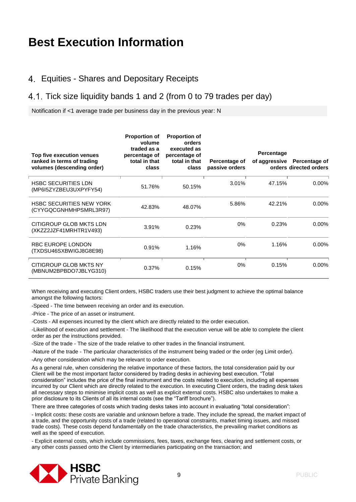#### Equities - Shares and Depositary Receipts

#### 4.1. Tick size liquidity bands 1 and 2 (from 0 to 79 trades per day)

Notification if <1 average trade per business day in the previous year: N

| Top five execution venues<br>ranked in terms of trading<br>volumes (descending order) | <b>Proportion of</b><br>volume<br>traded as a<br>percentage of<br>total in that<br>class | <b>Proportion of</b><br>orders<br>executed as<br>percentage of<br>total in that<br>class | Percentage of<br>passive orders | Percentage | of aggressive Percentage of<br>orders directed orders |
|---------------------------------------------------------------------------------------|------------------------------------------------------------------------------------------|------------------------------------------------------------------------------------------|---------------------------------|------------|-------------------------------------------------------|
| <b>HSBC SECURITIES LDN</b><br>(MP6I5ZYZBEU3UXPYFY54)                                  | 51.76%                                                                                   | 50.15%                                                                                   | 3.01%                           | 47.15%     | $0.00\%$                                              |
| <b>HSBC SECURITIES NEW YORK</b><br>(CYYGQCGNHMHPSMRL3R97)                             | 42.83%                                                                                   | 48.07%                                                                                   | 5.86%                           | 42.21%     | $0.00\%$                                              |
| CITIGROUP GLOB MKTS LDN<br>(XKZZ2JZF41MRHTR1V493)                                     | 3.91%                                                                                    | 0.23%                                                                                    | $0\%$                           | 0.23%      | $0.00\%$                                              |
| <b>RBC EUROPE LONDON</b><br>(TXDSU46SXBWIGJ8G8E98)                                    | 0.91%                                                                                    | 1.16%                                                                                    | $0\%$                           | 1.16%      | $0.00\%$                                              |
| CITIGROUP GLOB MKTS NY<br>(MBNUM2BPBDO7JBLYG310)                                      | 0.37%                                                                                    | 0.15%                                                                                    | 0%                              | 0.15%      | $0.00\%$                                              |

When receiving and executing Client orders, HSBC traders use their best judgment to achieve the optimal balance amongst the following factors:

-Speed - The time between receiving an order and its execution.

-Price - The price of an asset or instrument.

-Costs - All expenses incurred by the client which are directly related to the order execution.

-Likelihood of execution and settlement - The likelihood that the execution venue will be able to complete the client order as per the instructions provided.

-Size of the trade - The size of the trade relative to other trades in the financial instrument.

-Nature of the trade - The particular characteristics of the instrument being traded or the order (eg Limit order).

-Any other consideration which may be relevant to order execution.

As a general rule, when considering the relative importance of these factors, the total consideration paid by our Client will be the most important factor considered by trading desks in achieving best execution. "Total consideration" includes the price of the final instrument and the costs related to execution, including all expenses incurred by our Client which are directly related to the execution. In executing Client orders, the trading desk takes all necessary steps to minimise implicit costs as well as explicit external costs. HSBC also undertakes to make a prior disclosure to its Clients of all its internal costs (see the "Tariff brochure").

There are three categories of costs which trading desks takes into account in evaluating "total consideration":

- Implicit costs: these costs are variable and unknown before a trade. They include the spread, the market impact of a trade, and the opportunity costs of a trade (related to operational constraints, market timing issues, and missed trade costs). These costs depend fundamentally on the trade characteristics, the prevailing market conditions as well as the speed of execution.

- Explicit external costs, which include commissions, fees, taxes, exchange fees, clearing and settlement costs, or any other costs passed onto the Client by intermediaries participating on the transaction; and

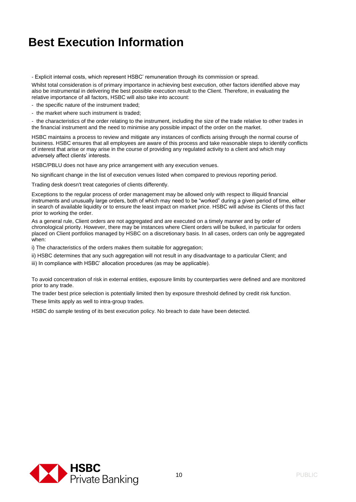- Explicit internal costs, which represent HSBC' remuneration through its commission or spread.

Whilst total consideration is of primary importance in achieving best execution, other factors identified above may also be instrumental in delivering the best possible execution result to the Client. Therefore, in evaluating the relative importance of all factors, HSBC will also take into account:

- the specific nature of the instrument traded;

- the market where such instrument is traded;

- the characteristics of the order relating to the instrument, including the size of the trade relative to other trades in the financial instrument and the need to minimise any possible impact of the order on the market.

HSBC maintains a process to review and mitigate any instances of conflicts arising through the normal course of business. HSBC ensures that all employees are aware of this process and take reasonable steps to identify conflicts of interest that arise or may arise in the course of providing any regulated activity to a client and which may adversely affect clients' interests.

HSBC/PBLU does not have any price arrangement with any execution venues.

No significant change in the list of execution venues listed when compared to previous reporting period.

Trading desk doesn't treat categories of clients differently.

Exceptions to the regular process of order management may be allowed only with respect to illiquid financial instruments and unusually large orders, both of which may need to be "worked" during a given period of time, either in search of available liquidity or to ensure the least impact on market price. HSBC will advise its Clients of this fact prior to working the order.

As a general rule, Client orders are not aggregated and are executed on a timely manner and by order of chronological priority. However, there may be instances where Client orders will be bulked, in particular for orders placed on Client portfolios managed by HSBC on a discretionary basis. In all cases, orders can only be aggregated when:

i) The characteristics of the orders makes them suitable for aggregation;

ii) HSBC determines that any such aggregation will not result in any disadvantage to a particular Client; and

iii) In compliance with HSBC' allocation procedures (as may be applicable).

To avoid concentration of risk in external entities, exposure limits by counterparties were defined and are monitored prior to any trade.

The trader best price selection is potentially limited then by exposure threshold defined by credit risk function. These limits apply as well to intra-group trades.

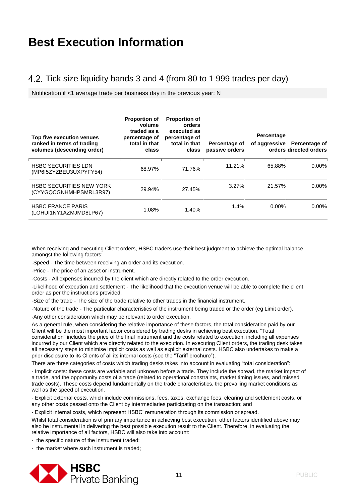#### 4.2. Tick size liquidity bands 3 and 4 (from 80 to 1 999 trades per day)

Notification if <1 average trade per business day in the previous year: N

| Top five execution venues<br>ranked in terms of trading<br>volumes (descending order) | <b>Proportion of</b><br>volume<br>traded as a<br>percentage of<br>total in that<br>class | <b>Proportion of</b><br>orders<br>executed as<br>percentage of<br>total in that<br>class | Percentage of<br>passive orders | Percentage<br>of aggressive | <b>Percentage of</b><br>orders directed orders |
|---------------------------------------------------------------------------------------|------------------------------------------------------------------------------------------|------------------------------------------------------------------------------------------|---------------------------------|-----------------------------|------------------------------------------------|
| <b>HSBC SECURITIES LDN</b><br>(MP6I5ZYZBEU3UXPYFY54)                                  | 68.97%                                                                                   | 71.76%                                                                                   | 11.21%                          | 65.88%                      | $0.00\%$                                       |
| <b>HSBC SECURITIES NEW YORK</b><br>(CYYGQCGNHMHPSMRL3R97)                             | 29.94%                                                                                   | 27.45%                                                                                   | 3.27%                           | 21.57%                      | $0.00\%$                                       |
| <b>HSBC FRANCE PARIS</b><br>(LOHUI1NY1AZMJMD8LP67)                                    | 1.08%                                                                                    | 1.40%                                                                                    | 1.4%                            | $0.00\%$                    | $0.00\%$                                       |

When receiving and executing Client orders, HSBC traders use their best judgment to achieve the optimal balance amongst the following factors:

-Speed - The time between receiving an order and its execution.

-Price - The price of an asset or instrument.

-Costs - All expenses incurred by the client which are directly related to the order execution.

-Likelihood of execution and settlement - The likelihood that the execution venue will be able to complete the client order as per the instructions provided.

-Size of the trade - The size of the trade relative to other trades in the financial instrument.

-Nature of the trade - The particular characteristics of the instrument being traded or the order (eg Limit order).

-Any other consideration which may be relevant to order execution.

As a general rule, when considering the relative importance of these factors, the total consideration paid by our Client will be the most important factor considered by trading desks in achieving best execution. "Total consideration" includes the price of the final instrument and the costs related to execution, including all expenses incurred by our Client which are directly related to the execution. In executing Client orders, the trading desk takes all necessary steps to minimise implicit costs as well as explicit external costs. HSBC also undertakes to make a prior disclosure to its Clients of all its internal costs (see the "Tariff brochure").

There are three categories of costs which trading desks takes into account in evaluating "total consideration":

- Implicit costs: these costs are variable and unknown before a trade. They include the spread, the market impact of a trade, and the opportunity costs of a trade (related to operational constraints, market timing issues, and missed trade costs). These costs depend fundamentally on the trade characteristics, the prevailing market conditions as well as the speed of execution.

- Explicit external costs, which include commissions, fees, taxes, exchange fees, clearing and settlement costs, or any other costs passed onto the Client by intermediaries participating on the transaction; and

- Explicit internal costs, which represent HSBC' remuneration through its commission or spread.

Whilst total consideration is of primary importance in achieving best execution, other factors identified above may also be instrumental in delivering the best possible execution result to the Client. Therefore, in evaluating the relative importance of all factors, HSBC will also take into account:

- the specific nature of the instrument traded;

- the market where such instrument is traded;

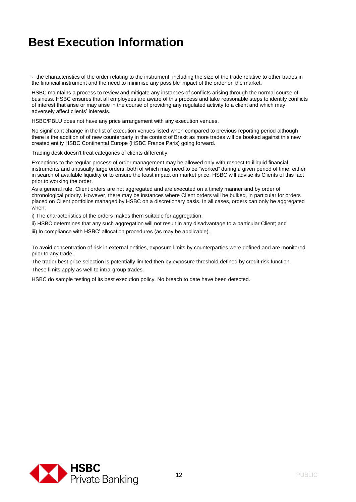- the characteristics of the order relating to the instrument, including the size of the trade relative to other trades in the financial instrument and the need to minimise any possible impact of the order on the market.

HSBC maintains a process to review and mitigate any instances of conflicts arising through the normal course of business. HSBC ensures that all employees are aware of this process and take reasonable steps to identify conflicts of interest that arise or may arise in the course of providing any regulated activity to a client and which may adversely affect clients' interests.

HSBC/PBLU does not have any price arrangement with any execution venues.

No significant change in the list of execution venues listed when compared to previous reporting period although there is the addition of of new counterparty in the context of Brexit as more trades will be booked against this new created entity HSBC Continental Europe (HSBC France Paris) going forward.

Trading desk doesn't treat categories of clients differently.

Exceptions to the regular process of order management may be allowed only with respect to illiquid financial instruments and unusually large orders, both of which may need to be "worked" during a given period of time, either in search of available liquidity or to ensure the least impact on market price. HSBC will advise its Clients of this fact prior to working the order.

As a general rule, Client orders are not aggregated and are executed on a timely manner and by order of chronological priority. However, there may be instances where Client orders will be bulked, in particular for orders placed on Client portfolios managed by HSBC on a discretionary basis. In all cases, orders can only be aggregated when:

i) The characteristics of the orders makes them suitable for aggregation;

ii) HSBC determines that any such aggregation will not result in any disadvantage to a particular Client; and

iii) In compliance with HSBC' allocation procedures (as may be applicable).

To avoid concentration of risk in external entities, exposure limits by counterparties were defined and are monitored prior to any trade.

The trader best price selection is potentially limited then by exposure threshold defined by credit risk function. These limits apply as well to intra-group trades.

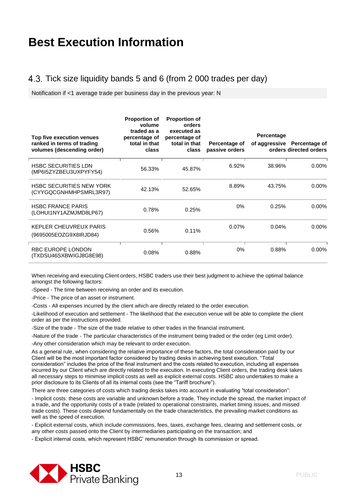#### 4.3. Tick size liquidity bands 5 and 6 (from 2 000 trades per day)

Notification if <1 average trade per business day in the previous year: N

| Top five execution venues<br>ranked in terms of trading<br>volumes (descending order) | <b>Proportion of</b><br>volume<br>traded as a<br>percentage of<br>total in that<br>class | <b>Proportion of</b><br>orders<br>executed as<br>percentage of<br>total in that<br>class | Percentage of<br>passive orders | Percentage | of aggressive Percentage of<br>orders directed orders |
|---------------------------------------------------------------------------------------|------------------------------------------------------------------------------------------|------------------------------------------------------------------------------------------|---------------------------------|------------|-------------------------------------------------------|
| <b>HSBC SECURITIES LDN</b><br>(MP6I5ZYZBEU3UXPYFY54)                                  | 56.33%                                                                                   | 45.87%                                                                                   | 6.92%                           | 38.96%     | $0.00\%$                                              |
| <b>HSBC SECURITIES NEW YORK</b><br>(CYYGQCGNHMHPSMRL3R97)                             | 42.13%                                                                                   | 52.65%                                                                                   | 8.89%                           | 43.75%     | 0.00%                                                 |
| <b>HSBC FRANCE PARIS</b><br>(LOHUI1NY1AZMJMD8LP67)                                    | 0.78%                                                                                    | 0.25%                                                                                    | 0%                              | 0.25%      | $0.00\%$                                              |
| KEPLER CHEUVREUX PARIS<br>(9695005EOZG9X8IRJD84)                                      | 0.56%                                                                                    | 0.11%                                                                                    | 0.07%                           | 0.04%      | $0.00\%$                                              |
| <b>RBC EUROPE LONDON</b><br>(TXDSU46SXBWIGJ8G8E98)                                    | 0.08%                                                                                    | 0.88%                                                                                    | $0\%$                           | 0.88%      | $0.00\%$                                              |

When receiving and executing Client orders, HSBC traders use their best judgment to achieve the optimal balance amongst the following factors:

-Speed - The time between receiving an order and its execution.

-Price - The price of an asset or instrument.

-Costs - All expenses incurred by the client which are directly related to the order execution.

-Likelihood of execution and settlement - The likelihood that the execution venue will be able to complete the client order as per the instructions provided.

-Size of the trade - The size of the trade relative to other trades in the financial instrument.

-Nature of the trade - The particular characteristics of the instrument being traded or the order (eg Limit order).

-Any other consideration which may be relevant to order execution.

As a general rule, when considering the relative importance of these factors, the total consideration paid by our Client will be the most important factor considered by trading desks in achieving best execution. "Total consideration" includes the price of the final instrument and the costs related to execution, including all expenses incurred by our Client which are directly related to the execution. In executing Client orders, the trading desk takes all necessary steps to minimise implicit costs as well as explicit external costs. HSBC also undertakes to make a prior disclosure to its Clients of all its internal costs (see the "Tariff brochure").

There are three categories of costs which trading desks takes into account in evaluating "total consideration":

- Implicit costs: these costs are variable and unknown before a trade. They include the spread, the market impact of a trade, and the opportunity costs of a trade (related to operational constraints, market timing issues, and missed trade costs). These costs depend fundamentally on the trade characteristics, the prevailing market conditions as well as the speed of execution.

- Explicit external costs, which include commissions, fees, taxes, exchange fees, clearing and settlement costs, or any other costs passed onto the Client by intermediaries participating on the transaction; and

- Explicit internal costs, which represent HSBC' remuneration through its commission or spread.

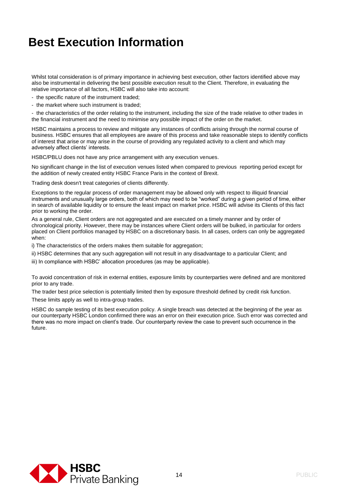Whilst total consideration is of primary importance in achieving best execution, other factors identified above may also be instrumental in delivering the best possible execution result to the Client. Therefore, in evaluating the relative importance of all factors, HSBC will also take into account:

- the specific nature of the instrument traded;
- the market where such instrument is traded;

- the characteristics of the order relating to the instrument, including the size of the trade relative to other trades in the financial instrument and the need to minimise any possible impact of the order on the market.

HSBC maintains a process to review and mitigate any instances of conflicts arising through the normal course of business. HSBC ensures that all employees are aware of this process and take reasonable steps to identify conflicts of interest that arise or may arise in the course of providing any regulated activity to a client and which may adversely affect clients' interests.

HSBC/PBLU does not have any price arrangement with any execution venues.

No significant change in the list of execution venues listed when compared to previous reporting period except for the addition of newly created entity HSBC France Paris in the context of Brexit.

Trading desk doesn't treat categories of clients differently.

Exceptions to the regular process of order management may be allowed only with respect to illiquid financial instruments and unusually large orders, both of which may need to be "worked" during a given period of time, either in search of available liquidity or to ensure the least impact on market price. HSBC will advise its Clients of this fact prior to working the order.

As a general rule, Client orders are not aggregated and are executed on a timely manner and by order of chronological priority. However, there may be instances where Client orders will be bulked, in particular for orders placed on Client portfolios managed by HSBC on a discretionary basis. In all cases, orders can only be aggregated when:

i) The characteristics of the orders makes them suitable for aggregation;

ii) HSBC determines that any such aggregation will not result in any disadvantage to a particular Client; and

iii) In compliance with HSBC' allocation procedures (as may be applicable).

To avoid concentration of risk in external entities, exposure limits by counterparties were defined and are monitored prior to any trade.

The trader best price selection is potentially limited then by exposure threshold defined by credit risk function. These limits apply as well to intra-group trades.

HSBC do sample testing of its best execution policy. A single breach was detected at the beginning of the year as our counterparty HSBC London confirmed there was an error on their execution price. Such error was corrected and there was no more impact on client's trade. Our counterparty review the case to prevent such occurrence in the future.

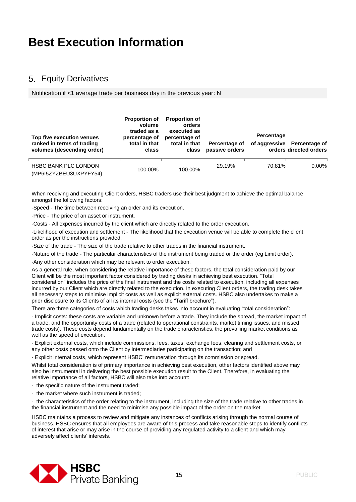#### **5. Equity Derivatives**

Notification if <1 average trade per business day in the previous year: N

| Top five execution venues<br>ranked in terms of trading<br>volumes (descending order) | <b>Proportion of</b><br>volume<br>traded as a<br>percentage of<br>total in that<br>class | <b>Proportion of</b><br>orders<br>executed as<br>percentage of<br>total in that<br>class | Percentage of<br>passive orders | Percentage | of aggressive Percentage of<br>orders directed orders |
|---------------------------------------------------------------------------------------|------------------------------------------------------------------------------------------|------------------------------------------------------------------------------------------|---------------------------------|------------|-------------------------------------------------------|
| <b>HSBC BANK PLC LONDON</b><br>(MP6I5ZYZBEU3UXPYFY54)                                 | 100.00%                                                                                  | 100.00%                                                                                  | 29.19%                          | 70.81%     | $0.00\%$                                              |

When receiving and executing Client orders, HSBC traders use their best judgment to achieve the optimal balance amongst the following factors:

-Speed - The time between receiving an order and its execution.

-Price - The price of an asset or instrument.

-Costs - All expenses incurred by the client which are directly related to the order execution.

-Likelihood of execution and settlement - The likelihood that the execution venue will be able to complete the client order as per the instructions provided.

-Size of the trade - The size of the trade relative to other trades in the financial instrument.

-Nature of the trade - The particular characteristics of the instrument being traded or the order (eg Limit order).

-Any other consideration which may be relevant to order execution.

As a general rule, when considering the relative importance of these factors, the total consideration paid by our Client will be the most important factor considered by trading desks in achieving best execution. "Total consideration" includes the price of the final instrument and the costs related to execution, including all expenses incurred by our Client which are directly related to the execution. In executing Client orders, the trading desk takes all necessary steps to minimise implicit costs as well as explicit external costs. HSBC also undertakes to make a prior disclosure to its Clients of all its internal costs (see the "Tariff brochure").

There are three categories of costs which trading desks takes into account in evaluating "total consideration":

- Implicit costs: these costs are variable and unknown before a trade. They include the spread, the market impact of a trade, and the opportunity costs of a trade (related to operational constraints, market timing issues, and missed trade costs). These costs depend fundamentally on the trade characteristics, the prevailing market conditions as well as the speed of execution.

- Explicit external costs, which include commissions, fees, taxes, exchange fees, clearing and settlement costs, or any other costs passed onto the Client by intermediaries participating on the transaction; and

- Explicit internal costs, which represent HSBC' remuneration through its commission or spread.

Whilst total consideration is of primary importance in achieving best execution, other factors identified above may also be instrumental in delivering the best possible execution result to the Client. Therefore, in evaluating the relative importance of all factors, HSBC will also take into account:

- the specific nature of the instrument traded;
- the market where such instrument is traded;

- the characteristics of the order relating to the instrument, including the size of the trade relative to other trades in the financial instrument and the need to minimise any possible impact of the order on the market.

HSBC maintains a process to review and mitigate any instances of conflicts arising through the normal course of business. HSBC ensures that all employees are aware of this process and take reasonable steps to identify conflicts of interest that arise or may arise in the course of providing any regulated activity to a client and which may adversely affect clients' interests.

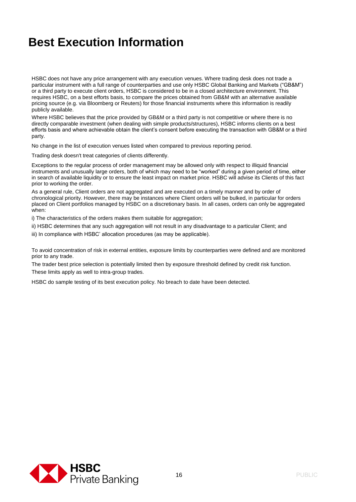HSBC does not have any price arrangement with any execution venues. Where trading desk does not trade a particular instrument with a full range of counterparties and use only HSBC Global Banking and Markets ("GB&M") or a third party to execute client orders, HSBC is considered to be in a closed architecture environment. This requires HSBC, on a best efforts basis, to compare the prices obtained from GB&M with an alternative available pricing source (e.g. via Bloomberg or Reuters) for those financial instruments where this information is readily publicly available.

Where HSBC believes that the price provided by GB&M or a third party is not competitive or where there is no directly comparable investment (when dealing with simple products/structures), HSBC informs clients on a best efforts basis and where achievable obtain the client's consent before executing the transaction with GB&M or a third party.

No change in the list of execution venues listed when compared to previous reporting period.

Trading desk doesn't treat categories of clients differently.

Exceptions to the regular process of order management may be allowed only with respect to illiquid financial instruments and unusually large orders, both of which may need to be "worked" during a given period of time, either in search of available liquidity or to ensure the least impact on market price. HSBC will advise its Clients of this fact prior to working the order.

As a general rule, Client orders are not aggregated and are executed on a timely manner and by order of chronological priority. However, there may be instances where Client orders will be bulked, in particular for orders placed on Client portfolios managed by HSBC on a discretionary basis. In all cases, orders can only be aggregated when:

i) The characteristics of the orders makes them suitable for aggregation;

- ii) HSBC determines that any such aggregation will not result in any disadvantage to a particular Client; and
- iii) In compliance with HSBC' allocation procedures (as may be applicable).

To avoid concentration of risk in external entities, exposure limits by counterparties were defined and are monitored prior to any trade.

The trader best price selection is potentially limited then by exposure threshold defined by credit risk function. These limits apply as well to intra-group trades.

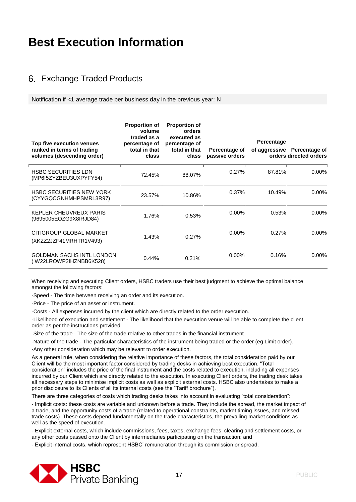#### 6. Exchange Traded Products

Notification if <1 average trade per business day in the previous year: N

| Top five execution venues<br>ranked in terms of trading<br>volumes (descending order) | <b>Proportion of</b><br>volume<br>traded as a<br>percentage of<br>total in that<br>class | <b>Proportion of</b><br>orders<br>executed as<br>percentage of<br>total in that<br>class | Percentage of<br>passive orders | Percentage | of aggressive Percentage of<br>orders directed orders |
|---------------------------------------------------------------------------------------|------------------------------------------------------------------------------------------|------------------------------------------------------------------------------------------|---------------------------------|------------|-------------------------------------------------------|
| <b>HSBC SECURITIES LDN</b><br>(MP6I5ZYZBEU3UXPYFY54)                                  | 72.45%                                                                                   | 88.07%                                                                                   | 0.27%                           | 87.81%     | $0.00\%$                                              |
| <b>HSBC SECURITIES NEW YORK</b><br>(CYYGQCGNHMHPSMRL3R97)                             | 23.57%                                                                                   | 10.86%                                                                                   | 0.37%                           | 10.49%     | $0.00\%$                                              |
| KEPLER CHEUVREUX PARIS<br>(9695005EOZG9X8IRJD84)                                      | 1.76%                                                                                    | 0.53%                                                                                    | $0.00\%$                        | 0.53%      | $0.00\%$                                              |
| CITIGROUP GLOBAL MARKET<br>(XKZZ2JZF41MRHTR1V493)                                     | 1.43%                                                                                    | 0.27%                                                                                    | $0.00\%$                        | 0.27%      | $0.00\%$                                              |
| <b>GOLDMAN SACHS INTL LONDON</b><br>(W22LROWP2IHZNBB6K528)                            | $0.44\%$                                                                                 | 0.21%                                                                                    | $0.00\%$                        | 0.16%      | $0.00\%$                                              |

When receiving and executing Client orders, HSBC traders use their best judgment to achieve the optimal balance amongst the following factors:

-Speed - The time between receiving an order and its execution.

-Price - The price of an asset or instrument.

-Costs - All expenses incurred by the client which are directly related to the order execution.

-Likelihood of execution and settlement - The likelihood that the execution venue will be able to complete the client order as per the instructions provided.

-Size of the trade - The size of the trade relative to other trades in the financial instrument.

-Nature of the trade - The particular characteristics of the instrument being traded or the order (eg Limit order).

-Any other consideration which may be relevant to order execution.

As a general rule, when considering the relative importance of these factors, the total consideration paid by our Client will be the most important factor considered by trading desks in achieving best execution. "Total consideration" includes the price of the final instrument and the costs related to execution, including all expenses incurred by our Client which are directly related to the execution. In executing Client orders, the trading desk takes all necessary steps to minimise implicit costs as well as explicit external costs. HSBC also undertakes to make a prior disclosure to its Clients of all its internal costs (see the "Tariff brochure").

There are three categories of costs which trading desks takes into account in evaluating "total consideration":

- Implicit costs: these costs are variable and unknown before a trade. They include the spread, the market impact of a trade, and the opportunity costs of a trade (related to operational constraints, market timing issues, and missed trade costs). These costs depend fundamentally on the trade characteristics, the prevailing market conditions as well as the speed of execution.

- Explicit external costs, which include commissions, fees, taxes, exchange fees, clearing and settlement costs, or any other costs passed onto the Client by intermediaries participating on the transaction; and

- Explicit internal costs, which represent HSBC' remuneration through its commission or spread.

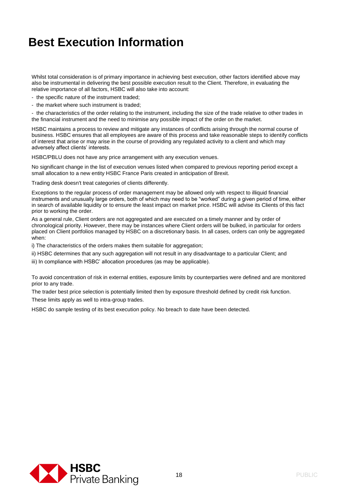Whilst total consideration is of primary importance in achieving best execution, other factors identified above may also be instrumental in delivering the best possible execution result to the Client. Therefore, in evaluating the relative importance of all factors, HSBC will also take into account:

- the specific nature of the instrument traded;
- the market where such instrument is traded;

- the characteristics of the order relating to the instrument, including the size of the trade relative to other trades in the financial instrument and the need to minimise any possible impact of the order on the market.

HSBC maintains a process to review and mitigate any instances of conflicts arising through the normal course of business. HSBC ensures that all employees are aware of this process and take reasonable steps to identify conflicts of interest that arise or may arise in the course of providing any regulated activity to a client and which may adversely affect clients' interests.

HSBC/PBLU does not have any price arrangement with any execution venues.

No significant change in the list of execution venues listed when compared to previous reporting period except a small allocation to a new entity HSBC France Paris created in anticipation of Brexit.

Trading desk doesn't treat categories of clients differently.

Exceptions to the regular process of order management may be allowed only with respect to illiquid financial instruments and unusually large orders, both of which may need to be "worked" during a given period of time, either in search of available liquidity or to ensure the least impact on market price. HSBC will advise its Clients of this fact prior to working the order.

As a general rule, Client orders are not aggregated and are executed on a timely manner and by order of chronological priority. However, there may be instances where Client orders will be bulked, in particular for orders placed on Client portfolios managed by HSBC on a discretionary basis. In all cases, orders can only be aggregated when:

i) The characteristics of the orders makes them suitable for aggregation;

ii) HSBC determines that any such aggregation will not result in any disadvantage to a particular Client; and

iii) In compliance with HSBC' allocation procedures (as may be applicable).

To avoid concentration of risk in external entities, exposure limits by counterparties were defined and are monitored prior to any trade.

The trader best price selection is potentially limited then by exposure threshold defined by credit risk function. These limits apply as well to intra-group trades.

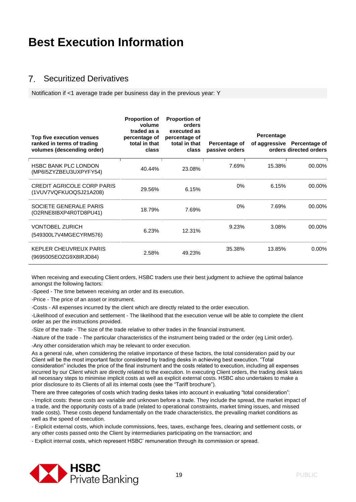#### $7<sup>7</sup>$ Securitized Derivatives

Notification if <1 average trade per business day in the previous year: Y

| Top five execution venues<br>ranked in terms of trading<br>volumes (descending order) | <b>Proportion of</b><br>volume<br>traded as a<br>percentage of<br>total in that<br>class | <b>Proportion of</b><br>orders<br>executed as<br>percentage of<br>total in that<br>class | Percentage of<br>passive orders | Percentage | of aggressive Percentage of<br>orders directed orders |
|---------------------------------------------------------------------------------------|------------------------------------------------------------------------------------------|------------------------------------------------------------------------------------------|---------------------------------|------------|-------------------------------------------------------|
| <b>HSBC BANK PLC LONDON</b><br>(MP6I5ZYZBEU3UXPYFY54)                                 | 40.44%                                                                                   | 23.08%                                                                                   | 7.69%                           | 15.38%     | 00.00%                                                |
| <b>CREDIT AGRICOLE CORP PARIS</b><br>(1VUV7VQFKUOQSJ21A208)                           | 29.56%                                                                                   | 6.15%                                                                                    | $0\%$                           | 6.15%      | 00.00%                                                |
| SOCIETE GENERALE PARIS<br>(O2RNE8IBXP4R0TD8PU41)                                      | 18.79%                                                                                   | 7.69%                                                                                    | $0\%$                           | 7.69%      | 00.00%                                                |
| <b>VONTOBEL ZURICH</b><br>(549300L7V4MGECYRM576)                                      | 6.23%                                                                                    | 12.31%                                                                                   | 9.23%                           | 3.08%      | 00.00%                                                |
| KEPLER CHEUVREUX PARIS<br>(9695005EOZG9X8IRJD84)                                      | 2.58%                                                                                    | 49.23%                                                                                   | 35.38%                          | 13.85%     | $0.00\%$                                              |

When receiving and executing Client orders, HSBC traders use their best judgment to achieve the optimal balance amongst the following factors:

-Speed - The time between receiving an order and its execution.

-Price - The price of an asset or instrument.

-Costs - All expenses incurred by the client which are directly related to the order execution.

-Likelihood of execution and settlement - The likelihood that the execution venue will be able to complete the client order as per the instructions provided.

-Size of the trade - The size of the trade relative to other trades in the financial instrument.

-Nature of the trade - The particular characteristics of the instrument being traded or the order (eg Limit order).

-Any other consideration which may be relevant to order execution.

As a general rule, when considering the relative importance of these factors, the total consideration paid by our Client will be the most important factor considered by trading desks in achieving best execution. "Total consideration" includes the price of the final instrument and the costs related to execution, including all expenses incurred by our Client which are directly related to the execution. In executing Client orders, the trading desk takes all necessary steps to minimise implicit costs as well as explicit external costs. HSBC also undertakes to make a prior disclosure to its Clients of all its internal costs (see the "Tariff brochure").

There are three categories of costs which trading desks takes into account in evaluating "total consideration":

- Implicit costs: these costs are variable and unknown before a trade. They include the spread, the market impact of a trade, and the opportunity costs of a trade (related to operational constraints, market timing issues, and missed trade costs). These costs depend fundamentally on the trade characteristics, the prevailing market conditions as well as the speed of execution.

- Explicit external costs, which include commissions, fees, taxes, exchange fees, clearing and settlement costs, or any other costs passed onto the Client by intermediaries participating on the transaction; and

- Explicit internal costs, which represent HSBC' remuneration through its commission or spread.

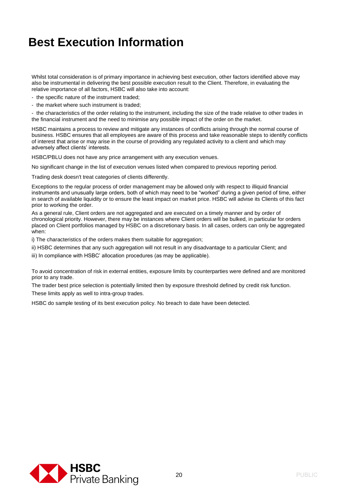Whilst total consideration is of primary importance in achieving best execution, other factors identified above may also be instrumental in delivering the best possible execution result to the Client. Therefore, in evaluating the relative importance of all factors, HSBC will also take into account:

- the specific nature of the instrument traded;
- the market where such instrument is traded;

- the characteristics of the order relating to the instrument, including the size of the trade relative to other trades in the financial instrument and the need to minimise any possible impact of the order on the market.

HSBC maintains a process to review and mitigate any instances of conflicts arising through the normal course of business. HSBC ensures that all employees are aware of this process and take reasonable steps to identify conflicts of interest that arise or may arise in the course of providing any regulated activity to a client and which may adversely affect clients' interests.

HSBC/PBLU does not have any price arrangement with any execution venues.

No significant change in the list of execution venues listed when compared to previous reporting period.

Trading desk doesn't treat categories of clients differently.

Exceptions to the regular process of order management may be allowed only with respect to illiquid financial instruments and unusually large orders, both of which may need to be "worked" during a given period of time, either in search of available liquidity or to ensure the least impact on market price. HSBC will advise its Clients of this fact prior to working the order.

As a general rule, Client orders are not aggregated and are executed on a timely manner and by order of chronological priority. However, there may be instances where Client orders will be bulked, in particular for orders placed on Client portfolios managed by HSBC on a discretionary basis. In all cases, orders can only be aggregated when:

i) The characteristics of the orders makes them suitable for aggregation;

- ii) HSBC determines that any such aggregation will not result in any disadvantage to a particular Client; and
- iii) In compliance with HSBC' allocation procedures (as may be applicable).

To avoid concentration of risk in external entities, exposure limits by counterparties were defined and are monitored prior to any trade.

The trader best price selection is potentially limited then by exposure threshold defined by credit risk function.

These limits apply as well to intra-group trades.

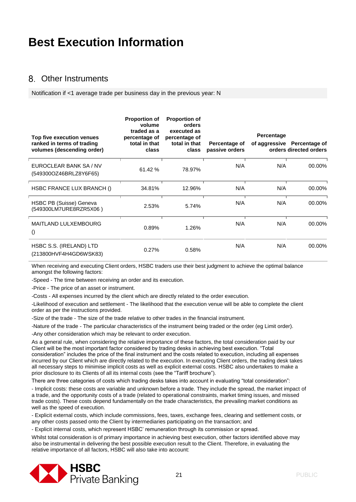#### Other Instruments

Notification if <1 average trade per business day in the previous year: N

| Top five execution venues<br>ranked in terms of trading<br>volumes (descending order) | <b>Proportion of</b><br>volume<br>traded as a<br>percentage of<br>total in that<br>class | <b>Proportion of</b><br>orders<br>executed as<br>percentage of<br>total in that<br>class | Percentage of<br>passive orders | Percentage | of aggressive Percentage of<br>orders directed orders |
|---------------------------------------------------------------------------------------|------------------------------------------------------------------------------------------|------------------------------------------------------------------------------------------|---------------------------------|------------|-------------------------------------------------------|
| EUROCLEAR BANK SA / NV<br>(549300OZ46BRLZ8Y6F65)                                      | 61.42 %                                                                                  | 78.97%                                                                                   | N/A                             | N/A        | 00.00%                                                |
| HSBC FRANCE LUX BRANCH ()                                                             | 34.81%                                                                                   | 12.96%                                                                                   | N/A                             | N/A        | 00.00%                                                |
| HSBC PB (Suisse) Geneva<br>(549300LM7URE8RZR5X06)                                     | 2.53%                                                                                    | 5.74%                                                                                    | N/A                             | N/A        | 00.00%                                                |
| <b>MAITLAND LULXEMBOURG</b><br>$\left( \right)$                                       | 0.89%                                                                                    | 1.26%                                                                                    | N/A                             | N/A        | 00.00%                                                |
| HSBC S.S. (IRELAND) LTD<br>(213800HVF4H4GD6WSK83)                                     | 0.27%                                                                                    | 0.58%                                                                                    | N/A                             | N/A        | 00.00%                                                |

When receiving and executing Client orders, HSBC traders use their best judgment to achieve the optimal balance amongst the following factors:

-Speed - The time between receiving an order and its execution.

-Price - The price of an asset or instrument.

-Costs - All expenses incurred by the client which are directly related to the order execution.

-Likelihood of execution and settlement - The likelihood that the execution venue will be able to complete the client order as per the instructions provided.

-Size of the trade - The size of the trade relative to other trades in the financial instrument.

-Nature of the trade - The particular characteristics of the instrument being traded or the order (eg Limit order).

-Any other consideration which may be relevant to order execution.

As a general rule, when considering the relative importance of these factors, the total consideration paid by our Client will be the most important factor considered by trading desks in achieving best execution. "Total consideration" includes the price of the final instrument and the costs related to execution, including all expenses incurred by our Client which are directly related to the execution. In executing Client orders, the trading desk takes all necessary steps to minimise implicit costs as well as explicit external costs. HSBC also undertakes to make a prior disclosure to its Clients of all its internal costs (see the "Tariff brochure").

There are three categories of costs which trading desks takes into account in evaluating "total consideration":

- Implicit costs: these costs are variable and unknown before a trade. They include the spread, the market impact of a trade, and the opportunity costs of a trade (related to operational constraints, market timing issues, and missed trade costs). These costs depend fundamentally on the trade characteristics, the prevailing market conditions as well as the speed of execution.

- Explicit external costs, which include commissions, fees, taxes, exchange fees, clearing and settlement costs, or any other costs passed onto the Client by intermediaries participating on the transaction; and

- Explicit internal costs, which represent HSBC' remuneration through its commission or spread.

Whilst total consideration is of primary importance in achieving best execution, other factors identified above may also be instrumental in delivering the best possible execution result to the Client. Therefore, in evaluating the relative importance of all factors, HSBC will also take into account:

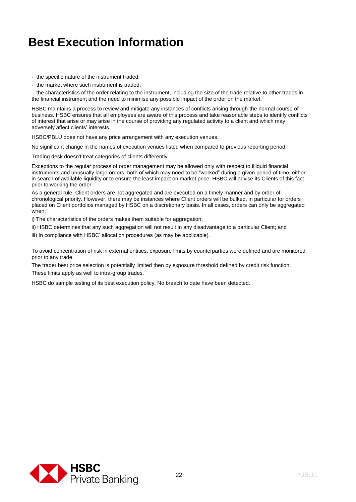- the specific nature of the instrument traded;

- the market where such instrument is traded;

- the characteristics of the order relating to the instrument, including the size of the trade relative to other trades in the financial instrument and the need to minimise any possible impact of the order on the market.

HSBC maintains a process to review and mitigate any instances of conflicts arising through the normal course of business. HSBC ensures that all employees are aware of this process and take reasonable steps to identify conflicts of interest that arise or may arise in the course of providing any regulated activity to a client and which may adversely affect clients' interests.

HSBC/PBLU does not have any price arrangement with any execution venues.

No significant change in the names of execution venues listed when compared to previous reporting period.

Trading desk doesn't treat categories of clients differently.

Exceptions to the regular process of order management may be allowed only with respect to illiquid financial instruments and unusually large orders, both of which may need to be "worked" during a given period of time, either in search of available liquidity or to ensure the least impact on market price. HSBC will advise its Clients of this fact prior to working the order.

As a general rule, Client orders are not aggregated and are executed on a timely manner and by order of chronological priority. However, there may be instances where Client orders will be bulked, in particular for orders placed on Client portfolios managed by HSBC on a discretionary basis. In all cases, orders can only be aggregated when:

i) The characteristics of the orders makes them suitable for aggregation;

ii) HSBC determines that any such aggregation will not result in any disadvantage to a particular Client; and

iii) In compliance with HSBC' allocation procedures (as may be applicable).

To avoid concentration of risk in external entities, exposure limits by counterparties were defined and are monitored prior to any trade.

The trader best price selection is potentially limited then by exposure threshold defined by credit risk function. These limits apply as well to intra-group trades.